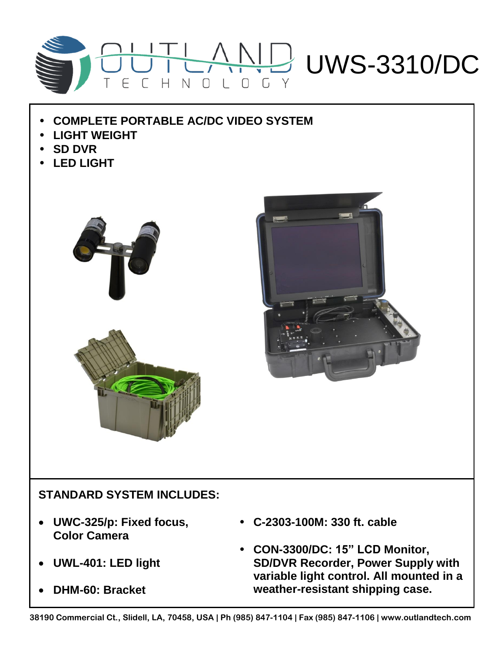

- **COMPLETE PORTABLE AC/DC VIDEO SYSTEM**
- **LIGHT WEIGHT**
- **SD DVR**
- **LED LIGHT**





## **STANDARD SYSTEM INCLUDES:**

- **UWC-325/p: Fixed focus, Color Camera**
- **UWL-401: LED light**
- **DHM-60: Bracket**
- **C-2303-100M: 330 ft. cable**
- **CON-3300/DC: 15" LCD Monitor, SD/DVR Recorder, Power Supply with variable light control. All mounted in a weather-resistant shipping case.**